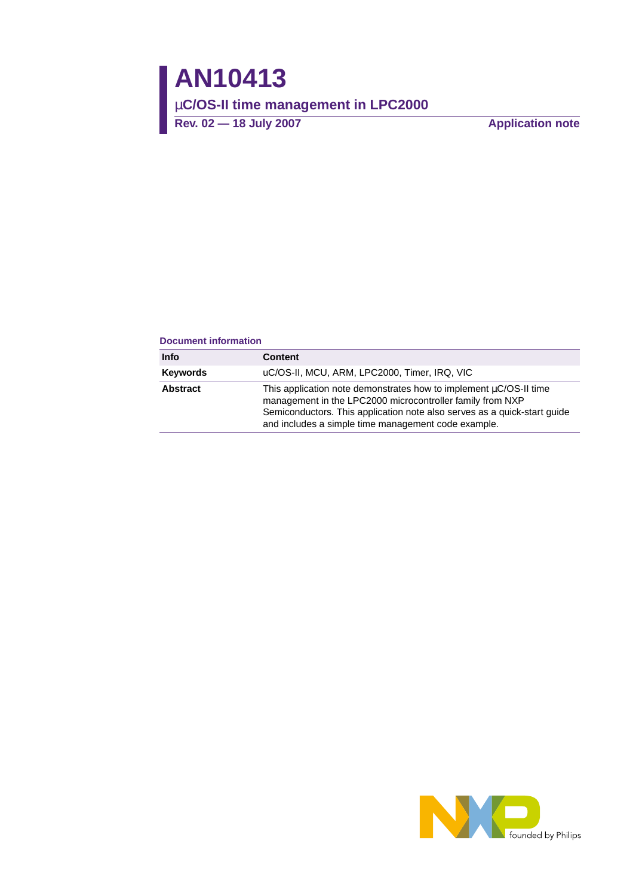#### **Document information**

| <b>Info</b>     | Content                                                                                                                                                                                                                                                           |
|-----------------|-------------------------------------------------------------------------------------------------------------------------------------------------------------------------------------------------------------------------------------------------------------------|
| <b>Keywords</b> | uC/OS-II, MCU, ARM, LPC2000, Timer, IRQ, VIC                                                                                                                                                                                                                      |
| <b>Abstract</b> | This application note demonstrates how to implement uC/OS-II time<br>management in the LPC2000 microcontroller family from NXP<br>Semiconductors. This application note also serves as a quick-start guide<br>and includes a simple time management code example. |

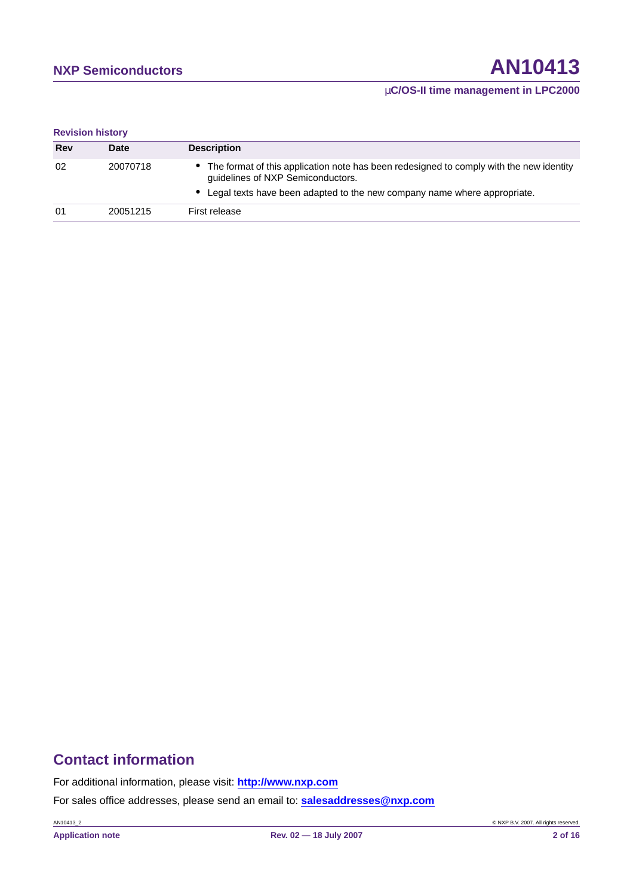### µ**C/OS-II time management in LPC2000**

**Revision history**

| <b>Rev</b> | <b>Date</b> | <b>Description</b>                                                                                                                                                                                         |
|------------|-------------|------------------------------------------------------------------------------------------------------------------------------------------------------------------------------------------------------------|
| 02         | 20070718    | • The format of this application note has been redesigned to comply with the new identity<br>guidelines of NXP Semiconductors.<br>Legal texts have been adapted to the new company name where appropriate. |
| 01         | 20051215    | First release                                                                                                                                                                                              |

# **Contact information**

For additional information, please visit: **http://www.nxp.com**

For sales office addresses, please send an email to: **salesaddresses@nxp.com**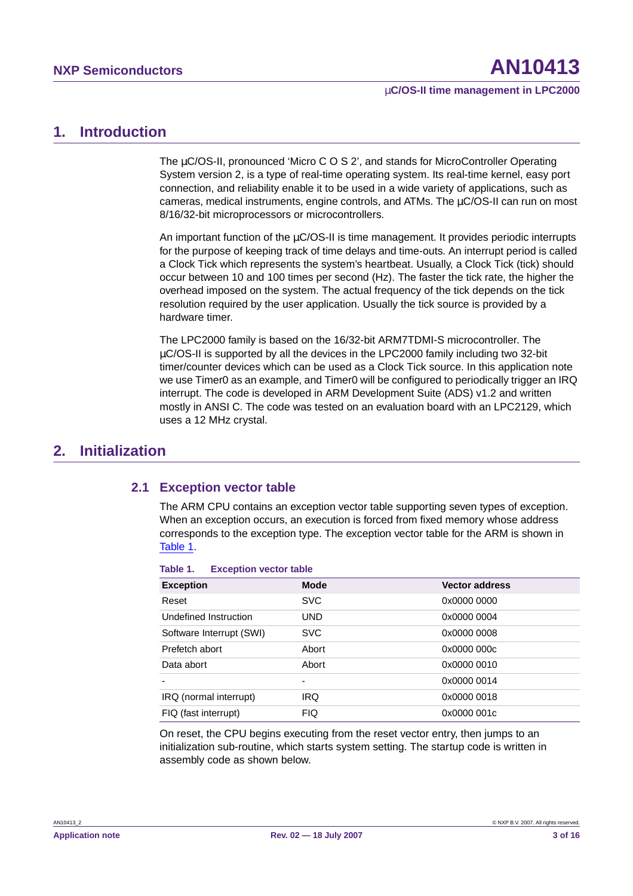# <span id="page-2-1"></span>**1. Introduction**

The µC/OS-II, pronounced 'Micro C O S 2', and stands for MicroController Operating System version 2, is a type of real-time operating system. Its real-time kernel, easy port connection, and reliability enable it to be used in a wide variety of applications, such as cameras, medical instruments, engine controls, and ATMs. The µC/OS-II can run on most 8/16/32-bit microprocessors or microcontrollers.

An important function of the  $\mu$ C/OS-II is time management. It provides periodic interrupts for the purpose of keeping track of time delays and time-outs. An interrupt period is called a Clock Tick which represents the system's heartbeat. Usually, a Clock Tick (tick) should occur between 10 and 100 times per second (Hz). The faster the tick rate, the higher the overhead imposed on the system. The actual frequency of the tick depends on the tick resolution required by the user application. Usually the tick source is provided by a hardware timer.

The LPC2000 family is based on the 16/32-bit ARM7TDMI-S microcontroller. The µC/OS-II is supported by all the devices in the LPC2000 family including two 32-bit timer/counter devices which can be used as a Clock Tick source. In this application note we use Timer0 as an example, and Timer0 will be configured to periodically trigger an IRQ interrupt. The code is developed in ARM Development Suite (ADS) v1.2 and written mostly in ANSI C. The code was tested on an evaluation board with an LPC2129, which uses a 12 MHz crystal.

# <span id="page-2-3"></span><span id="page-2-2"></span>**2. Initialization**

### **2.1 Exception vector table**

The ARM CPU contains an exception vector table supporting seven types of exception. When an exception occurs, an execution is forced from fixed memory whose address corresponds to the exception type. The exception vector table for the ARM is shown in [Table](#page-2-0) 1.

| <b>Exception</b>         | <b>Mode</b> | <b>Vector address</b> |
|--------------------------|-------------|-----------------------|
| Reset                    | <b>SVC</b>  | 0x0000 0000           |
| Undefined Instruction    | <b>UND</b>  | 0x0000 0004           |
| Software Interrupt (SWI) | <b>SVC</b>  | 0x0000 0008           |
| Prefetch abort           | Abort       | 0x0000 000c           |
| Data abort               | Abort       | 0x0000 0010           |
|                          | -           | 0x0000 0014           |
| IRQ (normal interrupt)   | <b>IRQ</b>  | 0x0000 0018           |
| FIQ (fast interrupt)     | <b>FIQ</b>  | 0x0000 001c           |

<span id="page-2-0"></span>**Table 1. Exception vector table**

On reset, the CPU begins executing from the reset vector entry, then jumps to an initialization sub-routine, which starts system setting. The startup code is written in assembly code as shown below.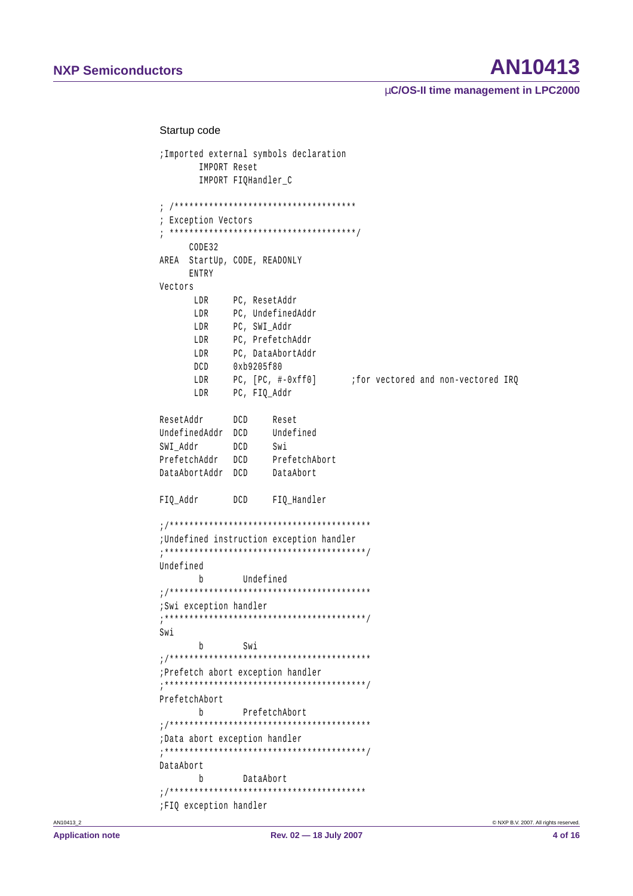# AN10413

µC/OS-II time management in LPC2000

#### Startup code

```
; Imported external symbols declaration
    IMPORT Reset
    IMPORT FIQHandler C
; Exception Vectors
CODE32
AREA StartUp, CODE, READONLY
   ENTRY
Vectors
      PC, ResetAddr
   T.DRLDR
      PC, UndefinedAddr
       PC, SWI_Addr
   LDR
       PC, PrefetchAddr
   LDR
      PC, DataAbortAddr
   LDR
   DCD 0xb9205f80
      PC. [PC. #-0xff0]for vectored and non-vectored IRO
   LDR
       PC, FIO Addr
   LDR
ResetAddr
       DCD
            Reset
UndefinedAddr DCD Undefined
           SwiSWI Addr
       DCD
PrefetchAddr DCD
            PrefetchAbort
DataAbortAddr DCD
            DataAbort
FIO Addr
       DCD
            FIO Handler
; Undefined instruction exception handler
Undefined
    bUndefined
;Swi exception handler
Swi
   b Swi
; Prefetch abort exception handler
PrefetchAbort
   bPrefetchAbort
;Data abort exception handler
DataAbort
   b DataAbort
;FIQ exception handler
```
AN10413 2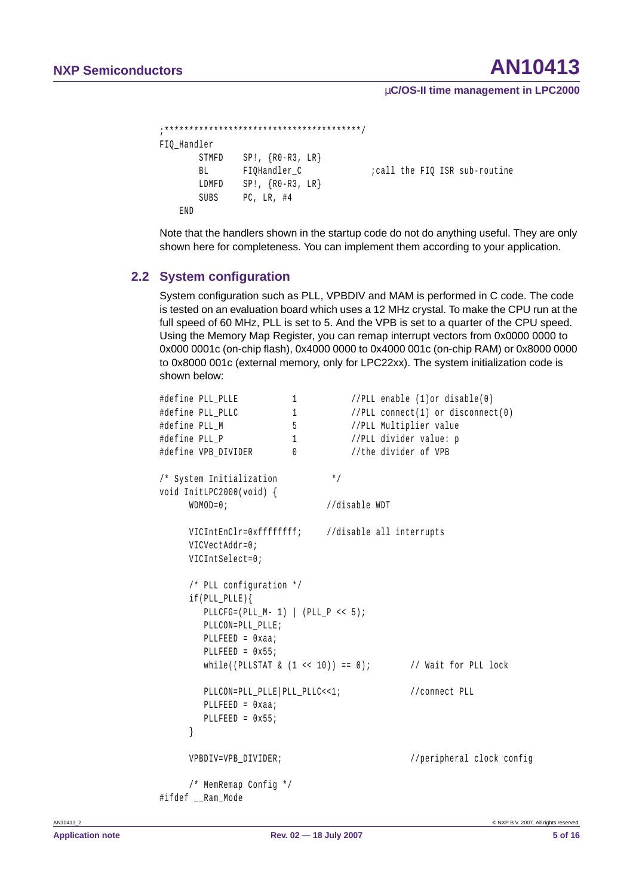#### µ**C/OS-II time management in LPC2000**

```
;****************************************/
FIO Handler
      STMFD SP!, {R0-R3, LR}
      BL FIOHandler C icall the FIO ISR sub-routine
      LDMFD SP!, {R0-R3, LR}
      SUBS PC, LR, #4
   END
```
Note that the handlers shown in the startup code do not do anything useful. They are only shown here for completeness. You can implement them according to your application.

### <span id="page-4-0"></span>**2.2 System configuration**

System configuration such as PLL, VPBDIV and MAM is performed in C code. The code is tested on an evaluation board which uses a 12 MHz crystal. To make the CPU run at the full speed of 60 MHz, PLL is set to 5. And the VPB is set to a quarter of the CPU speed. Using the Memory Map Register, you can remap interrupt vectors from 0x0000 0000 to 0x000 0001c (on-chip flash), 0x4000 0000 to 0x4000 001c (on-chip RAM) or 0x8000 0000 to 0x8000 001c (external memory, only for LPC22xx). The system initialization code is shown below:

```
#define PLL_PLLE 1 //PLL enable (1)or disable(0)
#define PLL PLLC 1 //PLL connect(1) or disconnect(0)
#define PLL_M 5 //PLL Multiplier value
#define PLL P 1 //PLL divider value: p
#define VPB_DIVIDER 0 //the divider of VPB
/* System Initialization */
void InitLPC2000(void) {
    WDMOD=0; //disable WDT
    VICIntEnClr=0xffffffff; //disable all interrupts
    VICVectAddr=0;
    VICIntSelect=0;
     /* PLL configuration */
    if(PLL_PLLE){
       PLLCFG=(PLL M- 1) | (PLL P \leq 5);
       PLLCON=PLL_PLLE;
       PLLFEED = 0xaa;
       PLLFEED = 0x55;
       while((PLLSTAT \& (1 << 10)) == 0); // Wait for PLL lock
       PLLCON=PLL_PLLE|PLL_PLLC<<1; //connect PLL
       PLLFEED = 0xaa;
       PLLFEED = 0x55;
     }
    VPBDIV=VPB_DIVIDER; //peripheral clock config
     /* MemRemap Config */
#ifdef __Ram_Mode
```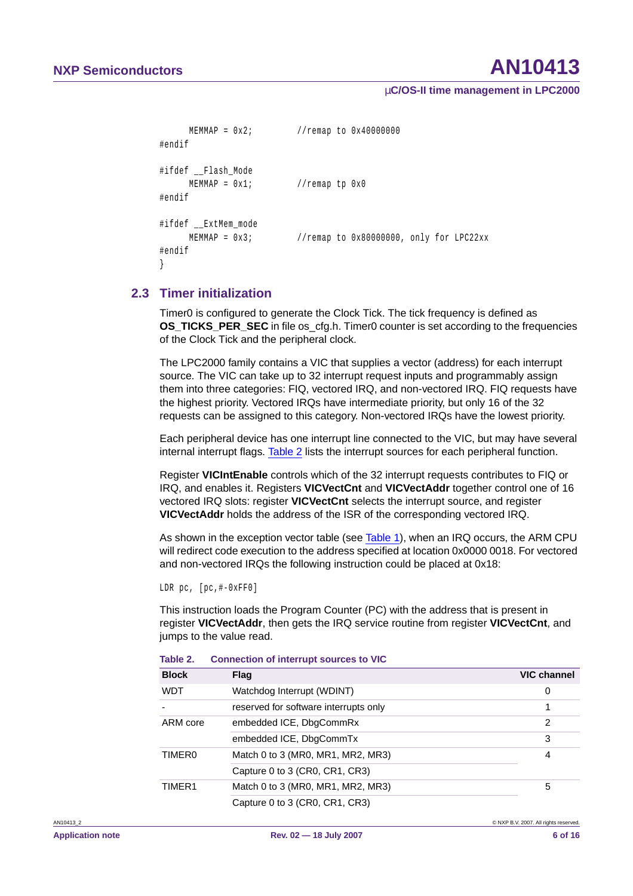µ**C/OS-II time management in LPC2000**

```
MEMMAP = 0x2; //remap to 0x40000000
#endif
#ifdef Flash_Mode
     MEMMAP = 0x1; //remap tp 0x0#endif
#ifdef ExtMem mode
     MEMMAP = 0x3; //remap to 0x80000000, only for LPC22xx
#endif
}
```
### <span id="page-5-1"></span>**2.3 Timer initialization**

Timer0 is configured to generate the Clock Tick. The tick frequency is defined as **OS\_TICKS\_PER\_SEC** in file os\_cfg.h. Timer0 counter is set according to the frequencies of the Clock Tick and the peripheral clock.

The LPC2000 family contains a VIC that supplies a vector (address) for each interrupt source. The VIC can take up to 32 interrupt request inputs and programmably assign them into three categories: FIQ, vectored IRQ, and non-vectored IRQ. FIQ requests have the highest priority. Vectored IRQs have intermediate priority, but only 16 of the 32 requests can be assigned to this category. Non-vectored IRQs have the lowest priority.

Each peripheral device has one interrupt line connected to the VIC, but may have several internal interrupt flags. [Table](#page-5-0) 2 lists the interrupt sources for each peripheral function.

Register **VICIntEnable** controls which of the 32 interrupt requests contributes to FIQ or IRQ, and enables it. Registers **VICVectCnt** and **VICVectAddr** together control one of 16 vectored IRQ slots: register **VICVectCnt** selects the interrupt source, and register **VICVectAddr** holds the address of the ISR of the corresponding vectored IRQ.

As shown in the exception vector table (see [Table](#page-2-0) 1), when an IRQ occurs, the ARM CPU will redirect code execution to the address specified at location 0x0000 0018. For vectored and non-vectored IRQs the following instruction could be placed at 0x18:

LDR pc, [pc,#-0xFF0]

This instruction loads the Program Counter (PC) with the address that is present in register **VICVectAddr**, then gets the IRQ service routine from register **VICVectCnt**, and jumps to the value read.

| <b>Block</b>       | Flag                                  | <b>VIC channel</b> |
|--------------------|---------------------------------------|--------------------|
| <b>WDT</b>         | Watchdog Interrupt (WDINT)            | 0                  |
|                    | reserved for software interrupts only |                    |
| ARM core           | embedded ICE, DbgCommRx               | 2                  |
|                    | embedded ICE, DbgCommTx               | 3                  |
| TIMER <sub>0</sub> | Match 0 to 3 (MR0, MR1, MR2, MR3)     | 4                  |
|                    | Capture 0 to 3 (CR0, CR1, CR3)        |                    |
| TIMER1             | Match 0 to 3 (MR0, MR1, MR2, MR3)     | 5                  |
|                    | Capture 0 to 3 (CR0, CR1, CR3)        |                    |

<span id="page-5-0"></span>**Table 2. Connection of interrupt sources to VIC**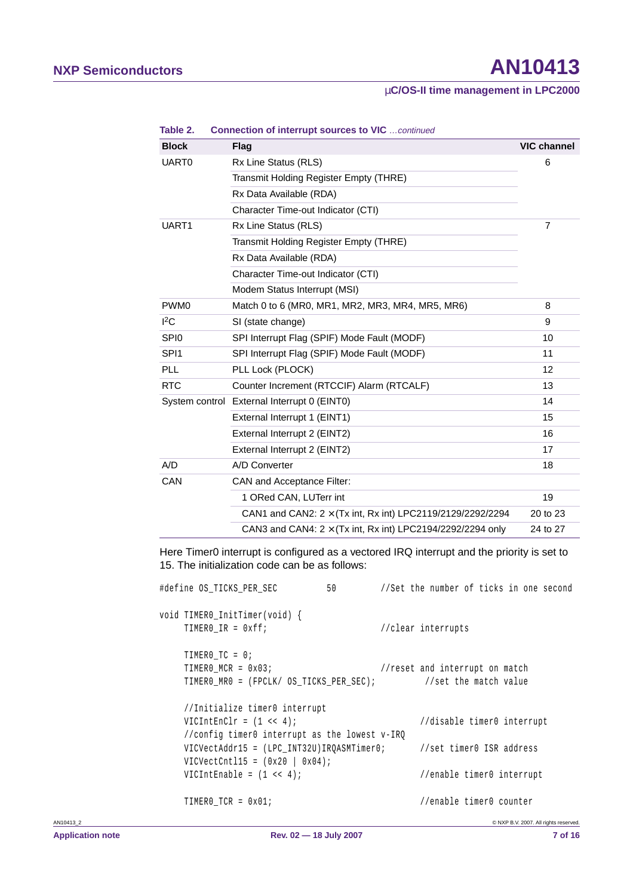### µ**C/OS-II time management in LPC2000**

| <b>Block</b>     | <b>Flag</b>                                                       | <b>VIC channel</b> |
|------------------|-------------------------------------------------------------------|--------------------|
| UART0            | Rx Line Status (RLS)                                              | 6                  |
|                  | Transmit Holding Register Empty (THRE)                            |                    |
|                  | Rx Data Available (RDA)                                           |                    |
|                  | Character Time-out Indicator (CTI)                                |                    |
| UART1            | Rx Line Status (RLS)                                              | 7                  |
|                  | Transmit Holding Register Empty (THRE)                            |                    |
|                  | Rx Data Available (RDA)                                           |                    |
|                  | Character Time-out Indicator (CTI)                                |                    |
|                  | Modem Status Interrupt (MSI)                                      |                    |
| PWM <sub>0</sub> | Match 0 to 6 (MR0, MR1, MR2, MR3, MR4, MR5, MR6)                  | 8                  |
| ${}^{12}C$       | SI (state change)                                                 | 9                  |
| SPI <sub>0</sub> | SPI Interrupt Flag (SPIF) Mode Fault (MODF)                       | 10                 |
| SPI <sub>1</sub> | SPI Interrupt Flag (SPIF) Mode Fault (MODF)                       | 11                 |
| <b>PLL</b>       | PLL Lock (PLOCK)                                                  | $12 \overline{ }$  |
| <b>RTC</b>       | Counter Increment (RTCCIF) Alarm (RTCALF)                         | 13                 |
|                  | System control External Interrupt 0 (EINT0)                       | 14                 |
|                  | External Interrupt 1 (EINT1)                                      | 15                 |
|                  | External Interrupt 2 (EINT2)                                      | 16                 |
|                  | External Interrupt 2 (EINT2)                                      | 17                 |
| A/D              | A/D Converter                                                     | 18                 |
| CAN              | CAN and Acceptance Filter:                                        |                    |
|                  | 1 ORed CAN, LUTerr int                                            | 19                 |
|                  | CAN1 and CAN2: $2 \times$ (Tx int, Rx int) LPC2119/2129/2292/2294 | 20 to 23           |
|                  | CAN3 and CAN4: $2 \times$ (Tx int, Rx int) LPC2194/2292/2294 only | 24 to 27           |

**Table 2. Connection of interrupt sources to VIC** …continued

Here Timer0 interrupt is configured as a vectored IRQ interrupt and the priority is set to 15. The initialization code can be as follows:

|           | #define OS TICKS PER SEC                                                                                         | 50 //Set the number of ticks in one second                                                      |  |
|-----------|------------------------------------------------------------------------------------------------------------------|-------------------------------------------------------------------------------------------------|--|
|           | void TIMERO_InitTimer(void) {<br>TIMERO IR = $0xff;$                                                             | //clear interrupts                                                                              |  |
|           | TIMERO $TC = 0;$<br>TIMERO MCR = $0 \times 03$ ;                                                                 | //reset and interrupt on match<br>TIMERO MRO = (FPCLK/ OS TICKS PER SEC); //set the match value |  |
|           | //Initialize timer0 interrupt<br>VICIntEnClr = $(1 \lt\lt 4)$ ;<br>//config timer0 interrupt as the lowest v-IRQ | //disable timer0 interrupt                                                                      |  |
|           | $VICVectCnt115 = (0x20   0x04);$                                                                                 | VICVectAddr15 = (LPC_INT32U)IRQASMTimer0; //set timer0 ISR address                              |  |
|           | VICIntEnable = $(1 \leq \leq 4)$ ;                                                                               | //enable timer0 interrupt                                                                       |  |
|           | TIMERO TCR = $0 \times 01$ ;                                                                                     | //enable timer0 counter                                                                         |  |
| AN10413 2 |                                                                                                                  | © NXP B.V. 2007. All rights reserved.                                                           |  |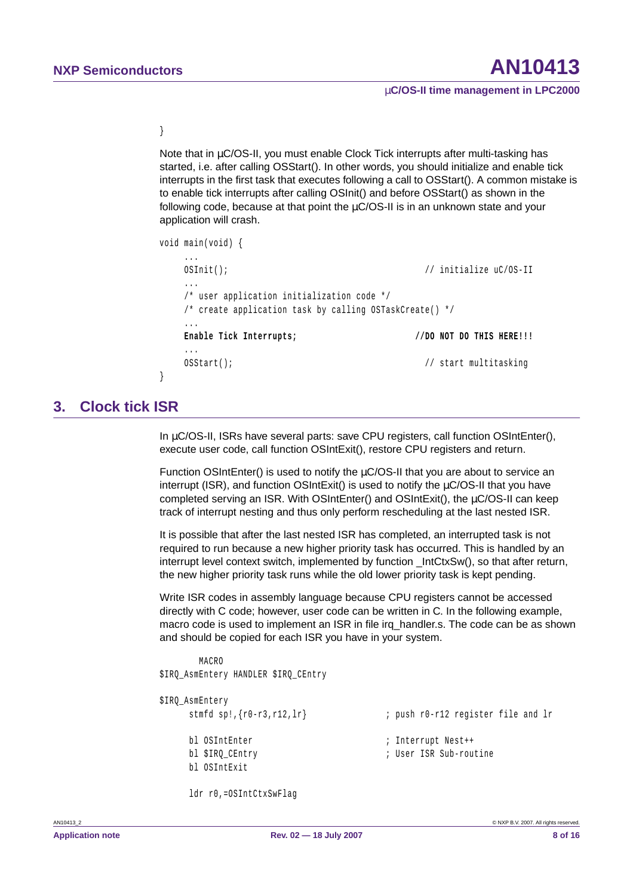}

Note that in  $\mu$ C/OS-II, you must enable Clock Tick interrupts after multi-tasking has started, i.e. after calling OSStart(). In other words, you should initialize and enable tick interrupts in the first task that executes following a call to OSStart(). A common mistake is to enable tick interrupts after calling OSInit() and before OSStart() as shown in the following code, because at that point the  $\mu$ C/OS-II is in an unknown state and your application will crash.

```
void main(void) {
   ...
   OSInit(); // initialize uC/OS-II
   ...
   /* user application initialization code */
   /* create application task by calling OSTaskCreate() */
   ...
   Enable Tick Interrupts; //DO NOT DO THIS HERE!!!
   ...
   OSStart(); \frac{1}{2} // start multitasking
}
```
## <span id="page-7-0"></span>**3. Clock tick ISR**

In µC/OS-II, ISRs have several parts: save CPU registers, call function OSIntEnter(), execute user code, call function OSIntExit(), restore CPU registers and return.

Function OSIntEnter() is used to notify the µC/OS-II that you are about to service an interrupt (ISR), and function OSIntExit() is used to notify the  $\mu$ C/OS-II that you have completed serving an ISR. With OSIntEnter() and OSIntExit(), the µC/OS-II can keep track of interrupt nesting and thus only perform rescheduling at the last nested ISR.

It is possible that after the last nested ISR has completed, an interrupted task is not required to run because a new higher priority task has occurred. This is handled by an interrupt level context switch, implemented by function \_IntCtxSw(), so that after return, the new higher priority task runs while the old lower priority task is kept pending.

Write ISR codes in assembly language because CPU registers cannot be accessed directly with C code; however, user code can be written in C. In the following example, macro code is used to implement an ISR in file irq handler.s. The code can be as shown and should be copied for each ISR you have in your system.

```
MACRO
$IRQ_AsmEntery HANDLER $IRQ_CEntry
$IRQ_AsmEntery
    stmfd sp!,{r0-r3,r12,lr} ; push r0-r12 register file and lr
    bl OSIntEnter ; Interrupt Nest++
    bl $IRO CEntry in the same of the sub-routine in the Sub-routine
    bl OSIntExit
```
ldr r0,=OSIntCtxSwFlag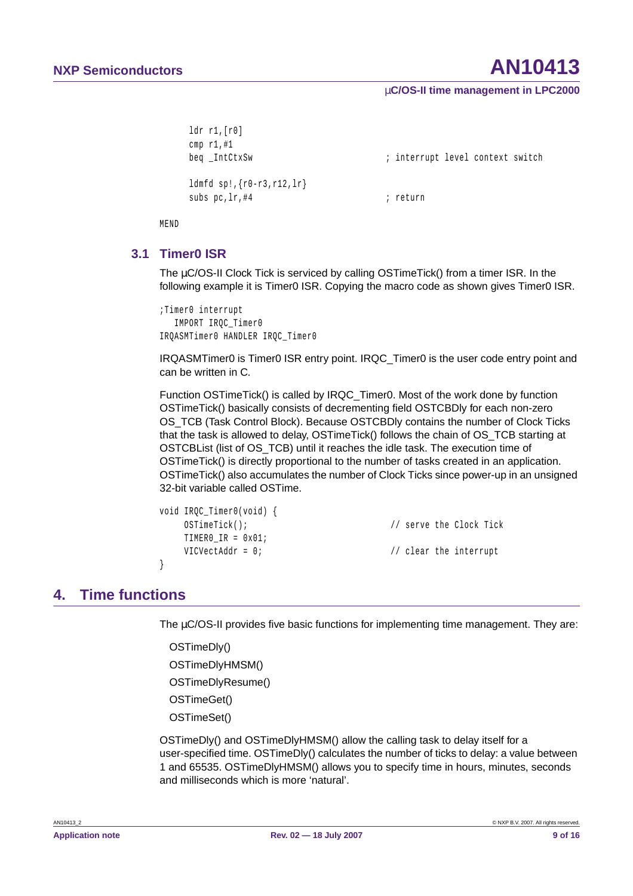#### µ**C/OS-II time management in LPC2000**

```
ldr r1,[r0]
cmp r1,#1
ldmfd sp!,{r0-r3,r12,lr}
subs pc, \ln \frac{44}{1} ; return
```
beq \_IntCtxSw  $\qquad \qquad ;$  interrupt level context switch

MEND

### <span id="page-8-0"></span>**3.1 Timer0 ISR**

The µC/OS-II Clock Tick is serviced by calling OSTimeTick() from a timer ISR. In the following example it is Timer0 ISR. Copying the macro code as shown gives Timer0 ISR.

```
;Timer0 interrupt
  IMPORT IRQC_Timer0
IRQASMTimer0 HANDLER IRQC_Timer0
```
IRQASMTimer0 is Timer0 ISR entry point. IRQC\_Timer0 is the user code entry point and can be written in C.

Function OSTimeTick() is called by IRQC\_Timer0. Most of the work done by function OSTimeTick() basically consists of decrementing field OSTCBDly for each non-zero OS\_TCB (Task Control Block). Because OSTCBDly contains the number of Clock Ticks that the task is allowed to delay, OSTimeTick() follows the chain of OS\_TCB starting at OSTCBList (list of OS\_TCB) until it reaches the idle task. The execution time of OSTimeTick() is directly proportional to the number of tasks created in an application. OSTimeTick() also accumulates the number of Clock Ticks since power-up in an unsigned 32-bit variable called OSTime.

```
void IRQC_Timer0(void) {
   OSTimeTick(); // serve the Clock Tick
   TIMER0_IR = 0x01;
   VICVectAddr = 0; // clear the interrupt
}
```
# <span id="page-8-1"></span>**4. Time functions**

The  $\mu$ C/OS-II provides five basic functions for implementing time management. They are:

OSTimeDly() OSTimeDlyHMSM() OSTimeDlyResume() OSTimeGet() OSTimeSet()

OSTimeDly() and OSTimeDlyHMSM() allow the calling task to delay itself for a user-specified time. OSTimeDly() calculates the number of ticks to delay: a value between 1 and 65535. OSTimeDlyHMSM() allows you to specify time in hours, minutes, seconds and milliseconds which is more 'natural'.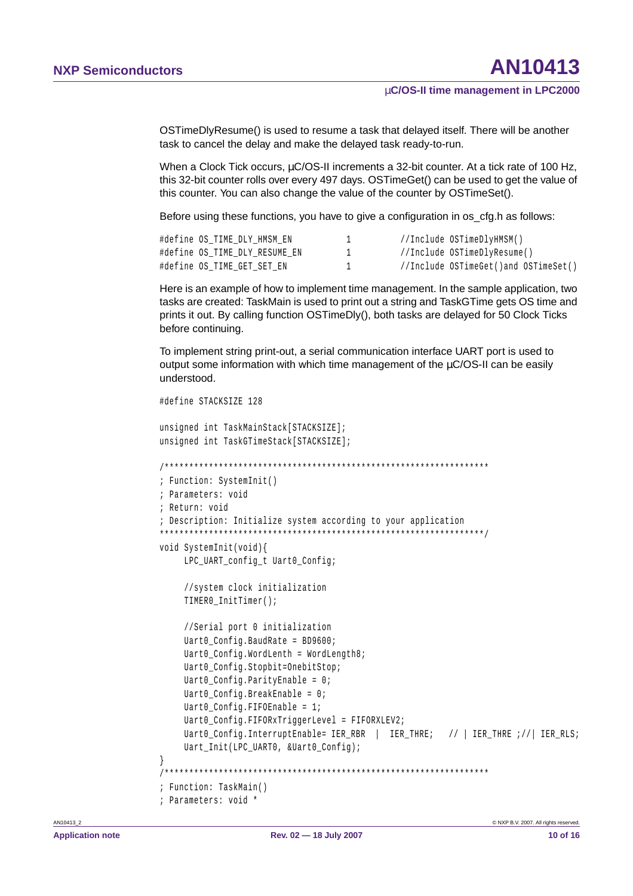OSTimeDlyResume() is used to resume a task that delayed itself. There will be another task to cancel the delay and make the delayed task ready-to-run.

When a Clock Tick occurs, µC/OS-II increments a 32-bit counter. At a tick rate of 100 Hz, this 32-bit counter rolls over every 497 days. OSTimeGet() can be used to get the value of this counter. You can also change the value of the counter by OSTimeSet().

Before using these functions, you have to give a configuration in os cfg.h as follows:

| #define OS TIME DLY HMSM EN   |  | //Include OSTimeDlyHMSM()            |
|-------------------------------|--|--------------------------------------|
| #define OS TIME DLY RESUME EN |  | //Include OSTimeDlyResume()          |
| #define OS TIME GET SET EN    |  | //Include OSTimeGet()and OSTimeSet() |

Here is an example of how to implement time management. In the sample application, two tasks are created: TaskMain is used to print out a string and TaskGTime gets OS time and prints it out. By calling function OSTimeDly(), both tasks are delayed for 50 Clock Ticks before continuing.

To implement string print-out, a serial communication interface UART port is used to output some information with which time management of the µC/OS-II can be easily understood.

```
#define STACKSIZE 128
unsigned int TaskMainStack[STACKSIZE];
unsigned int TaskGTimeStack[STACKSIZE];
; Function: SystemInit()
; Parameters: void
; Return: void
; Description: Initialize system according to your application
void SystemInit(void){
    LPC_UART_config_t Uart0_Config;
    //system clock initialization
    TIMERO InitTimer();
    //Serial port 0 initialization
    Uart0_Config.BaudRate = BD9600;
    Uart0_Config.WordLenth = WordLength8;
    Uart0_Config.Stopbit=OnebitStop;
    Uart0_Config.ParityEnable = 0;Uart0 Config.BreakEnable = 0;
    Uart0 Config.FIFOEnable = 1;
    Uart0_Config.FIFORxTriggerLevel = FIFORXLEV2;
    Uart0_Config.InterruptEnable= IER_RBR | IER_THRE; // | IER_THRE ;// | IER_RLS;
    Uart_Init(LPC_UARTO, &Uart0_Config);
\{; Function: TaskMain()
; Parameters: void *
```
AN10413 2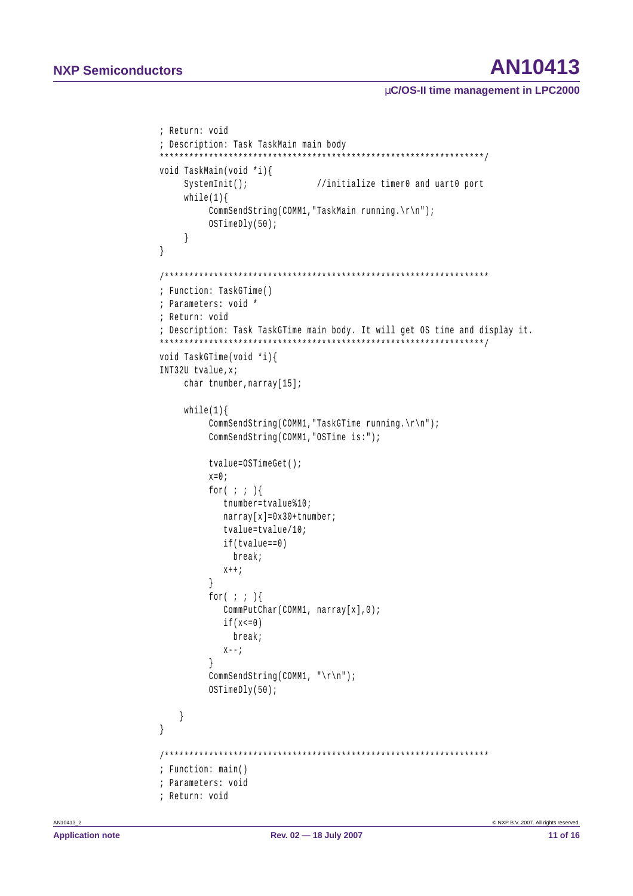# AN10413

### µC/OS-II time management in LPC2000

```
; Return: void
; Description: Task TaskMain main body
void TaskMain(void *i){
    SystemInit();
                         //initialize timer0 and uart0 port
    while(1)CommSendString(COMM1, "TaskMain running. \r \n");
        OSTimeDly(50);
    \left\{ \right\}\left\{ \right.; Function: TaskGTime()
; Parameters: void *
; Return: void
; Description: Task TaskGTime main body. It will get OS time and display it.
void TaskGTime(void *i){
INT32U tvalue.x;
    char tnumber, narray[15];
    while(1)CommSendString(COMM1, "TaskGTime running.\r\n");
        CommSendString(COMM1, "OSTime is:");
        tvalue=OSTimeGet();
        x=0;for(i, j)tnumber=tvalue%10;
          narray[x]=0x30+tnumber;tvalue=tvalue/10;
          if(tvalue==0)break;
          x++;\left\{\begin{array}{c} \end{array}\right\}for(;;) {
          CommPutChar(COMM1, narray[x], 0);if(x<=0)break;
          X = -iCommSendString(COMM1, "\r\n");
        OSTimeDly(50);
   \left\{ \right.\left\{ \right.; Function: main()
; Parameters: void
; Return: void
```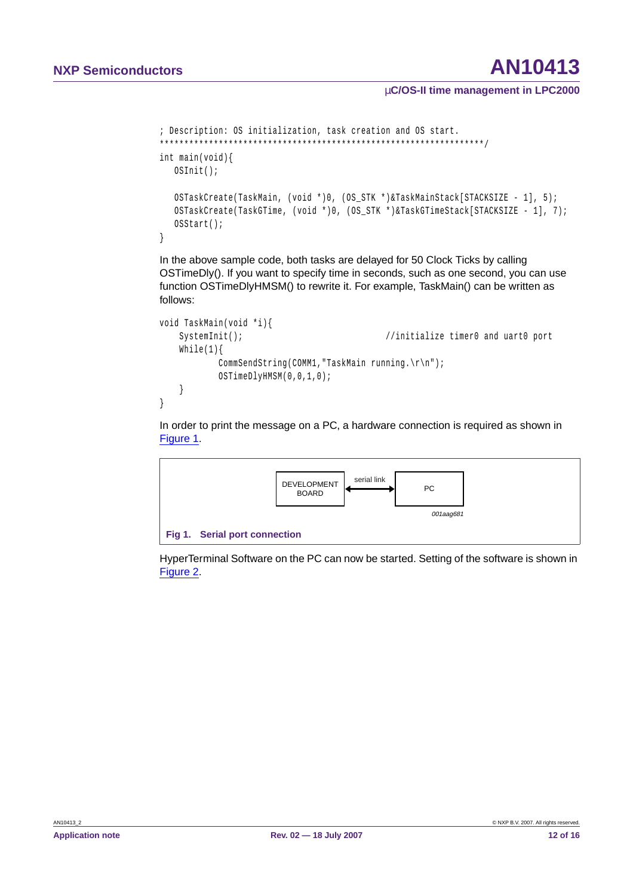### µ**C/OS-II time management in LPC2000**

```
; Description: OS initialization, task creation and OS start.
******************************************************************/
int main(void){
  OSInit();
  OSTaskCreate(TaskMain, (void *)0, (OS_STK *)&TaskMainStack[STACKSIZE - 1], 5);
  OSTaskCreate(TaskGTime, (void *)0, (OS_STK *)&TaskGTimeStack[STACKSIZE - 1], 7);
  OSStart();
}
```
In the above sample code, both tasks are delayed for 50 Clock Ticks by calling OSTimeDly(). If you want to specify time in seconds, such as one second, you can use function OSTimeDlyHMSM() to rewrite it. For example, TaskMain() can be written as follows:

```
void TaskMain(void *i){
   SystemInit(); //initialize timer0 and uart0 port
   While(1){
          CommSendString(COMM1,"TaskMain running.\r\n");
          OSTimeDlyHMSM(0,0,1,0);
   }
}
```
In order to print the message on a PC, a hardware connection is required as shown in [Figure](#page-11-0) 1.



<span id="page-11-0"></span>HyperTerminal Software on the PC can now be started. Setting of the software is shown in [Figure](#page-12-0) 2.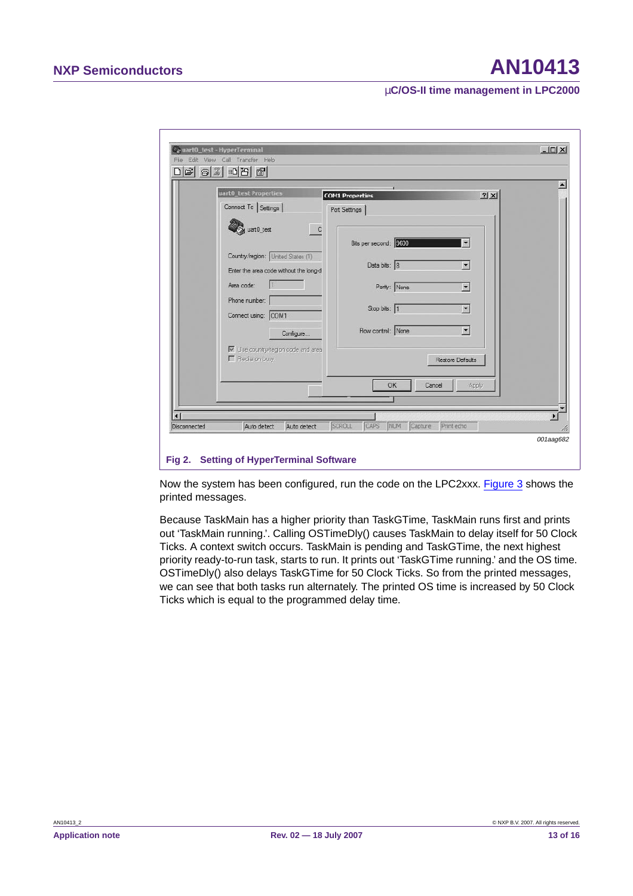### µ**C/OS-II time management in LPC2000**

| uart0_test Properties                                                                                                                                          | <b>COM1 Properties</b>                                                | ? x                                                                     |
|----------------------------------------------------------------------------------------------------------------------------------------------------------------|-----------------------------------------------------------------------|-------------------------------------------------------------------------|
| Connect To Settings                                                                                                                                            | Port Settings                                                         |                                                                         |
| uart0_test<br>$\mathbf C$<br>Country/region: United States (1)<br>Enter the area code without the long-d<br>Area code:<br>Phone number:<br>Connect using: COM1 | Bits per second: 9600<br>Data bits: 8<br>Parity: None<br>Stop bits: 1 | $\overline{ }$<br>$\overline{\phantom{a}}$<br>闛<br>$\blacktriangledown$ |
| Configure<br>V Use country/region code and area<br>F Redia on busy                                                                                             | Flow control: None<br>OK<br>Cancel                                    | $\blacksquare$<br>Restore Defaults<br>Apply                             |
|                                                                                                                                                                |                                                                       |                                                                         |

<span id="page-12-0"></span>Now the system has been configured, run the code on the LPC2xxx. [Figure](#page-13-0) 3 shows the printed messages.

Because TaskMain has a higher priority than TaskGTime, TaskMain runs first and prints out 'TaskMain running.'. Calling OSTimeDly() causes TaskMain to delay itself for 50 Clock Ticks. A context switch occurs. TaskMain is pending and TaskGTime, the next highest priority ready-to-run task, starts to run. It prints out 'TaskGTime running.' and the OS time. OSTimeDly() also delays TaskGTime for 50 Clock Ticks. So from the printed messages, we can see that both tasks run alternately. The printed OS time is increased by 50 Clock Ticks which is equal to the programmed delay time.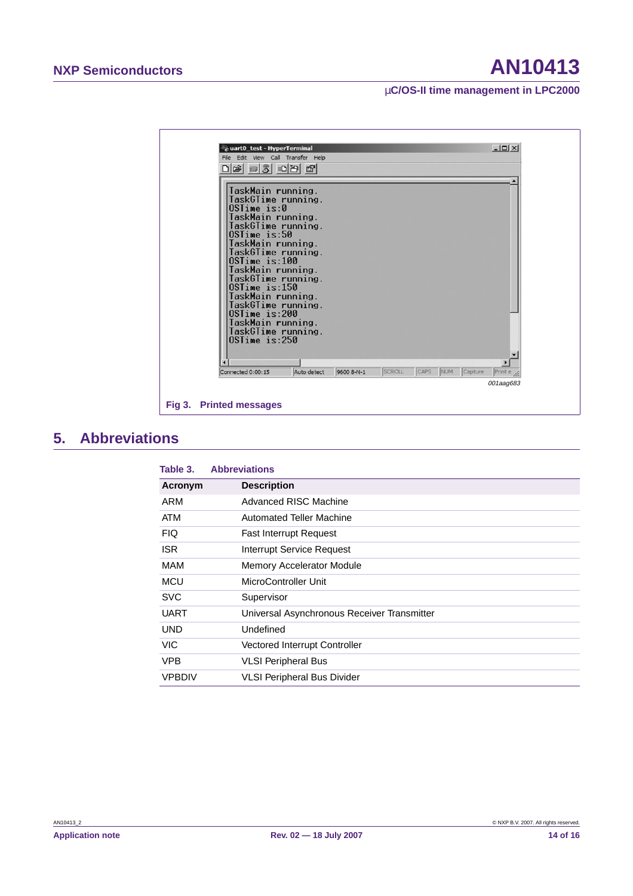### µ**C/OS-II time management in LPC2000**



## <span id="page-13-1"></span>**5. Abbreviations**

<span id="page-13-0"></span>

| Table 3.      | <b>Abbreviations</b>                        |
|---------------|---------------------------------------------|
| Acronym       | <b>Description</b>                          |
| ARM           | Advanced RISC Machine                       |
| <b>ATM</b>    | <b>Automated Teller Machine</b>             |
| <b>FIQ</b>    | <b>Fast Interrupt Request</b>               |
| <b>ISR</b>    | Interrupt Service Request                   |
| MAM           | <b>Memory Accelerator Module</b>            |
| <b>MCU</b>    | MicroController Unit                        |
| <b>SVC</b>    | Supervisor                                  |
| UART          | Universal Asynchronous Receiver Transmitter |
| UND           | Undefined                                   |
| <b>VIC</b>    | Vectored Interrupt Controller               |
| <b>VPB</b>    | <b>VLSI Peripheral Bus</b>                  |
| <b>VPBDIV</b> | <b>VLSI Peripheral Bus Divider</b>          |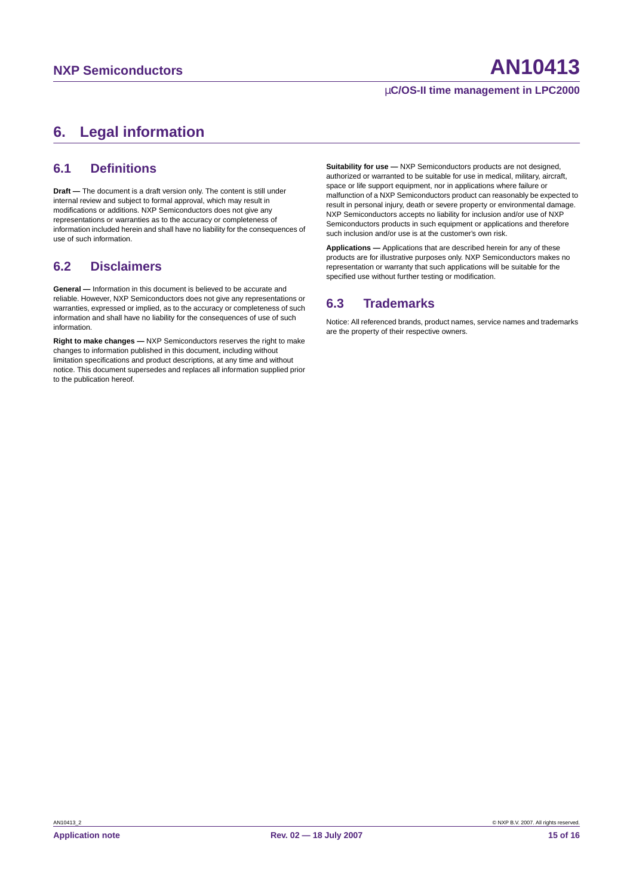### µ**C/OS-II time management in LPC2000**

# <span id="page-14-0"></span>**6. Legal information**

### <span id="page-14-1"></span>**6.1 Definitions**

**Draft —** The document is a draft version only. The content is still under internal review and subject to formal approval, which may result in modifications or additions. NXP Semiconductors does not give any representations or warranties as to the accuracy or completeness of information included herein and shall have no liability for the consequences of use of such information.

### <span id="page-14-2"></span>**6.2 Disclaimers**

**General —** Information in this document is believed to be accurate and reliable. However, NXP Semiconductors does not give any representations or warranties, expressed or implied, as to the accuracy or completeness of such information and shall have no liability for the consequences of use of such information.

**Right to make changes —** NXP Semiconductors reserves the right to make changes to information published in this document, including without limitation specifications and product descriptions, at any time and without notice. This document supersedes and replaces all information supplied prior to the publication hereof.

**Suitability for use - NXP Semiconductors products are not designed,** authorized or warranted to be suitable for use in medical, military, aircraft, space or life support equipment, nor in applications where failure or malfunction of a NXP Semiconductors product can reasonably be expected to result in personal injury, death or severe property or environmental damage. NXP Semiconductors accepts no liability for inclusion and/or use of NXP Semiconductors products in such equipment or applications and therefore such inclusion and/or use is at the customer's own risk.

**Applications —** Applications that are described herein for any of these products are for illustrative purposes only. NXP Semiconductors makes no representation or warranty that such applications will be suitable for the specified use without further testing or modification.

### <span id="page-14-3"></span>**6.3 Trademarks**

Notice: All referenced brands, product names, service names and trademarks are the property of their respective owners.